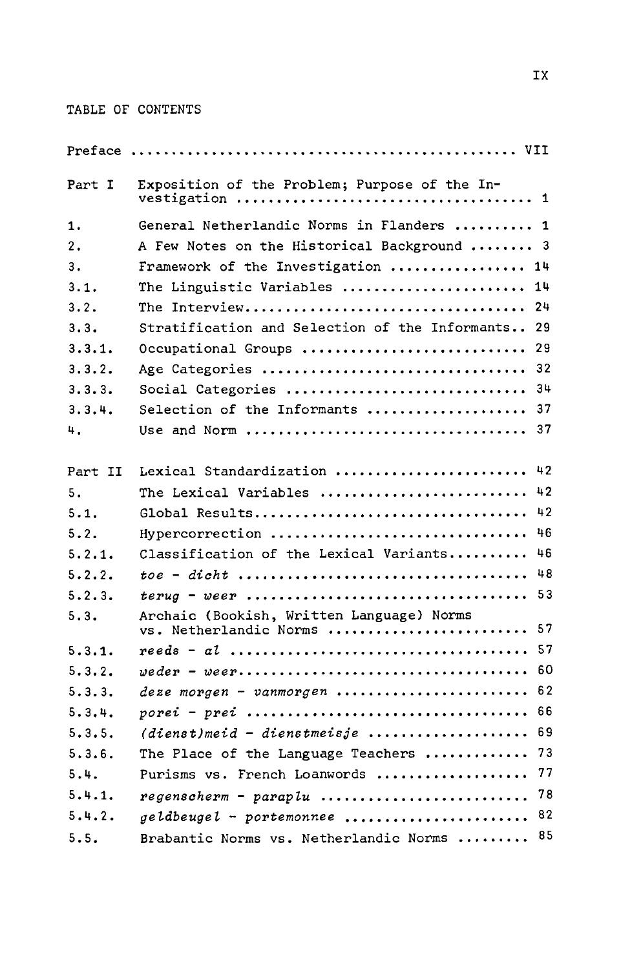## TABLE OF CONTENTS

| Part I  | Exposition of the Problem; Purpose of the In-                             |                         |
|---------|---------------------------------------------------------------------------|-------------------------|
| 1.      | General Netherlandic Norms in Flanders  1                                 |                         |
| 2.      | A Few Notes on the Historical Background                                  | $\overline{\mathbf{3}}$ |
| 3.      | Framework of the Investigation                                            | 14                      |
| 3.1.    | The Linguistic Variables                                                  | 14                      |
| 3.2.    | The Interview                                                             | 24                      |
| 3.3.    | Stratification and Selection of the Informants                            | 29                      |
| 3.3.1.  | Occupational Groups                                                       | 29                      |
| 3.3.2.  | Age Categories                                                            | 32                      |
| 3.3.3.  | Social Categories                                                         | 34                      |
| 3.3.4.  | Selection of the Informants                                               | 37                      |
| 4.      |                                                                           | -37                     |
| Part II | Lexical Standardization                                                   | 42                      |
| 5.      | The Lexical Variables                                                     | 42                      |
| 5.1.    | Global Results                                                            | 42                      |
| 5.2.    | Hypercorrection                                                           | 46                      |
| 5.2.1.  | Classification of the Lexical Variants                                    | 46                      |
| 5.2.2.  |                                                                           | 48                      |
| 5.2.3.  |                                                                           | 53                      |
| 5.3.    | Archaic (Bookish, Written Language) Norms<br>vs. Netherlandic Norms       | 57                      |
| 5.3.1.  |                                                                           | 57                      |
| 5.3.2.  |                                                                           | 60                      |
| 5.3.3.  | deze morgen - vanmorgen                                                   | 62                      |
| 5.3.4.  |                                                                           | 66                      |
| 5.3.5.  | $(dienst)$ meid - dienstmeisje                                            | 69                      |
| 5.3.6.  | The Place of the Language Teachers                                        | 73                      |
| 5.4.    | Purisms vs. French Loanwords                                              | 77                      |
| 5.4.1.  | $regenscherm - paraplu  \ldots \ldots \ldots \ldots \ldots \ldots \ldots$ | 78                      |
| 5.4.2.  | geldbeugel - portemonnee                                                  | 82                      |
| 5.5.    | Brabantic Norms vs. Netherlandic Norms                                    | 85                      |